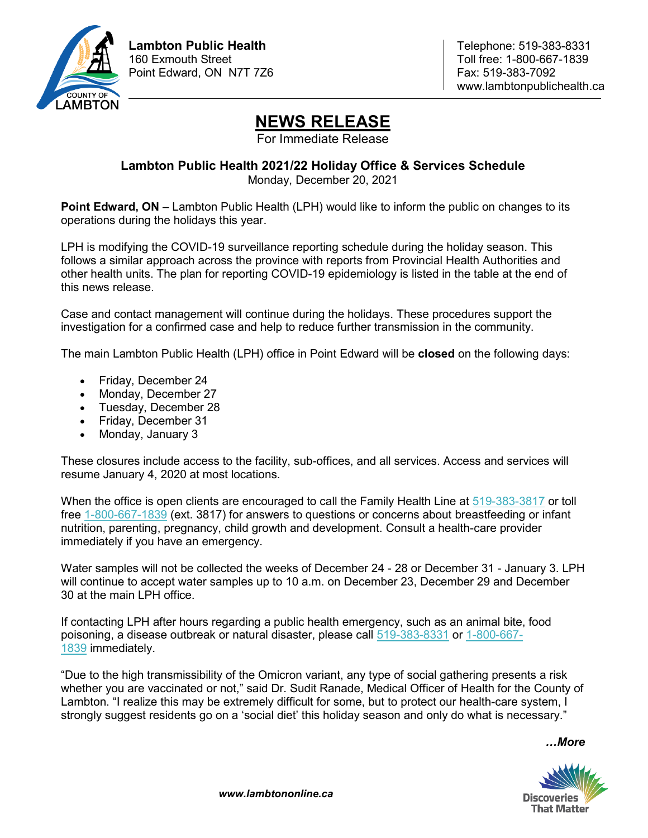

## **NEWS RELEASE**

For Immediate Release

## **Lambton Public Health 2021/22 Holiday Office & Services Schedule** Monday, December 20, 2021

**Point Edward, ON** – Lambton Public Health (LPH) would like to inform the public on changes to its operations during the holidays this year.

LPH is modifying the COVID-19 surveillance reporting schedule during the holiday season. This follows a similar approach across the province with reports from Provincial Health Authorities and other health units. The plan for reporting COVID-19 epidemiology is listed in the table at the end of this news release.

Case and contact management will continue during the holidays. These procedures support the investigation for a confirmed case and help to reduce further transmission in the community.

The main Lambton Public Health (LPH) office in Point Edward will be **closed** on the following days:

- Friday, December 24
- Monday, December 27
- Tuesday, December 28
- Friday, December 31
- Monday, January 3

These closures include access to the facility, sub-offices, and all services. Access and services will resume January 4, 2020 at most locations.

When the office is open clients are encouraged to call the Family Health Line at [519-383-3817](tel:519-383-3817) or toll free [1-800-667-1839](tel:1-800-667-1839) (ext. 3817) for answers to questions or concerns about breastfeeding or infant nutrition, parenting, pregnancy, child growth and development. Consult a health-care provider immediately if you have an emergency.

Water samples will not be collected the weeks of December 24 - 28 or December 31 - January 3. LPH will continue to accept water samples up to 10 a.m. on December 23, December 29 and December 30 at the main LPH office.

If contacting LPH after hours regarding a public health emergency, such as an animal bite, food poisoning, a disease outbreak or natural disaster, please call [519-383-8331](tel:519-383-8331) or [1-800-667-](tel:1-800-667-1839) [1839](tel:1-800-667-1839) immediately.

"Due to the high transmissibility of the Omicron variant, any type of social gathering presents a risk whether you are vaccinated or not," said Dr. Sudit Ranade, Medical Officer of Health for the County of Lambton. "I realize this may be extremely difficult for some, but to protect our health-care system, I strongly suggest residents go on a 'social diet' this holiday season and only do what is necessary."

*…More*



*www.lambtononline.ca*